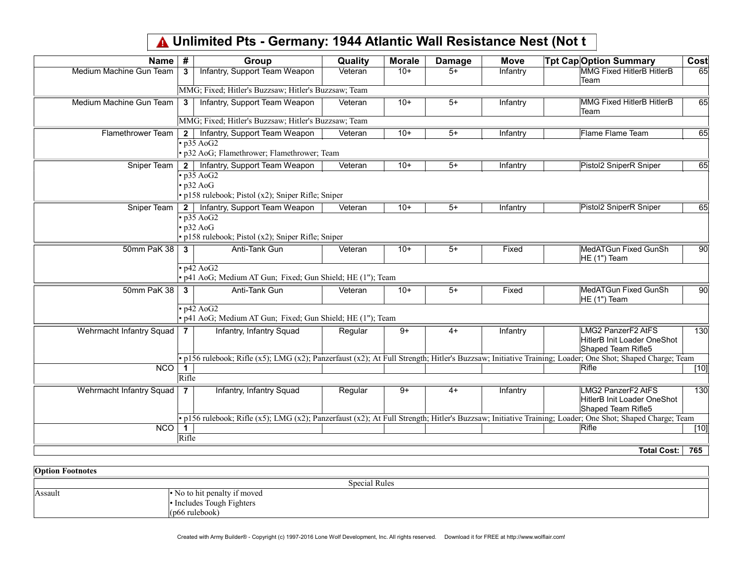## Unlimited Pts - Germany: 1944 Atlantic Wall Resistance Nest (Not t

| <b>Name</b>              | #              | Group                                                                                                      | Quality | <b>Morale</b> | <b>Damage</b> | <b>Move</b> | <b>Tpt Cap Option Summary</b>                                                                                                                           | Cost   |
|--------------------------|----------------|------------------------------------------------------------------------------------------------------------|---------|---------------|---------------|-------------|---------------------------------------------------------------------------------------------------------------------------------------------------------|--------|
| Medium Machine Gun Team  | 3              | Infantry, Support Team Weapon                                                                              | Veteran | $10+$         | $5+$          | Infantry    | MMG Fixed HitlerB HitlerB<br>Team                                                                                                                       | 65     |
|                          |                | MMG; Fixed; Hitler's Buzzsaw; Hitler's Buzzsaw; Team                                                       |         |               |               |             |                                                                                                                                                         |        |
| Medium Machine Gun Team  | 3              | Infantry, Support Team Weapon                                                                              | Veteran | $10+$         | $5+$          | Infantry    | MMG Fixed HitlerB HitlerB<br>Team                                                                                                                       | 65     |
|                          |                | MMG; Fixed; Hitler's Buzzsaw; Hitler's Buzzsaw; Team                                                       |         |               |               |             |                                                                                                                                                         |        |
| Flamethrower Team        | $2 \mid$       | Infantry, Support Team Weapon                                                                              | Veteran | $10+$         | $5+$          | Infantry    | <b>Flame Flame Team</b>                                                                                                                                 | 65     |
|                          |                | $\cdot$ p35 AoG2<br>• p32 AoG; Flamethrower; Flamethrower; Team                                            |         |               |               |             |                                                                                                                                                         |        |
| Sniper Team              | 2 <sup>1</sup> | Infantry, Support Team Weapon                                                                              | Veteran | $10+$         | $5+$          | Infantry    | Pistol2 SniperR Sniper                                                                                                                                  | 65     |
|                          |                | $\cdot$ p35 AoG2<br>$\cdot$ p32 AoG<br>· p158 rulebook; Pistol (x2); Sniper Rifle; Sniper                  |         |               |               |             |                                                                                                                                                         |        |
| Sniper Team              |                | 2   Infantry, Support Team Weapon                                                                          | Veteran | $10+$         | $5+$          | Infantry    | Pistol2 SniperR Sniper                                                                                                                                  | 65     |
| 50mm PaK 38              | 3              | $\cdot$ p35 AoG2<br>$\cdot$ p32 AoG<br>· p158 rulebook; Pistol (x2); Sniper Rifle; Sniper<br>Anti-Tank Gun | Veteran | $10+$         | $5+$          | Fixed       | MedATGun Fixed GunSh                                                                                                                                    | 90     |
|                          |                |                                                                                                            |         |               |               |             | HE (1") Team                                                                                                                                            |        |
|                          |                | $\cdot$ p42 AoG2<br>• p41 AoG; Medium AT Gun; Fixed; Gun Shield; HE (1"); Team                             |         |               |               |             |                                                                                                                                                         |        |
| 50mm PaK 38              | 3              | Anti-Tank Gun                                                                                              | Veteran | $10+$         | $5+$          | Fixed       | MedATGun Fixed GunSh<br>HE (1") Team                                                                                                                    | 90     |
|                          |                | $\cdot$ p42 AoG2<br>• p41 AoG; Medium AT Gun; Fixed; Gun Shield; HE (1"); Team                             |         |               |               |             |                                                                                                                                                         |        |
| Wehrmacht Infantry Squad | 7              | Infantry, Infantry Squad                                                                                   | Regular | $9+$          | $4+$          | Infantry    | LMG2 PanzerF2 AtFS<br><b>HitlerB Init Loader OneShot</b><br>Shaped Team Rifle5                                                                          | 130    |
|                          |                |                                                                                                            |         |               |               |             | · p156 rulebook; Rifle (x5); LMG (x2); Panzerfaust (x2); At Full Strength; Hitler's Buzzsaw; Initiative Training; Loader; One Shot; Shaped Charge; Team |        |
| NCO                      | $\mathbf 1$    |                                                                                                            |         |               |               |             | $R$ ifle                                                                                                                                                | $[10]$ |
|                          | Rifle          |                                                                                                            |         |               |               |             |                                                                                                                                                         |        |
| Wehrmacht Infantry Squad | $\mathbf{7}$   | Infantry, Infantry Squad                                                                                   | Regular | $9+$          | $4+$          | Infantry    | LMG2 PanzerF2 AtFS<br>HitlerB Init Loader OneShot<br>Shaped Team Rifle5                                                                                 | 130    |
|                          |                |                                                                                                            |         |               |               |             | · p156 rulebook; Rifle (x5); LMG (x2); Panzerfaust (x2); At Full Strength; Hitler's Buzzsaw; Initiative Training; Loader; One Shot; Shaped Charge; Team |        |
| NCO                      | Rifle          |                                                                                                            |         |               |               |             | Rifle                                                                                                                                                   | [10]   |
|                          |                |                                                                                                            |         |               |               |             |                                                                                                                                                         |        |
|                          |                |                                                                                                            |         |               |               |             | <b>Total Cost:</b>                                                                                                                                      | 765    |

| Footnotes     |                               |  |  |  |
|---------------|-------------------------------|--|--|--|
| Special Rules |                               |  |  |  |
| Assault       | to hit penalty if moved<br>NΟ |  |  |  |
|               | • Includes Tough Fighters     |  |  |  |
|               | (p66 rulebook)                |  |  |  |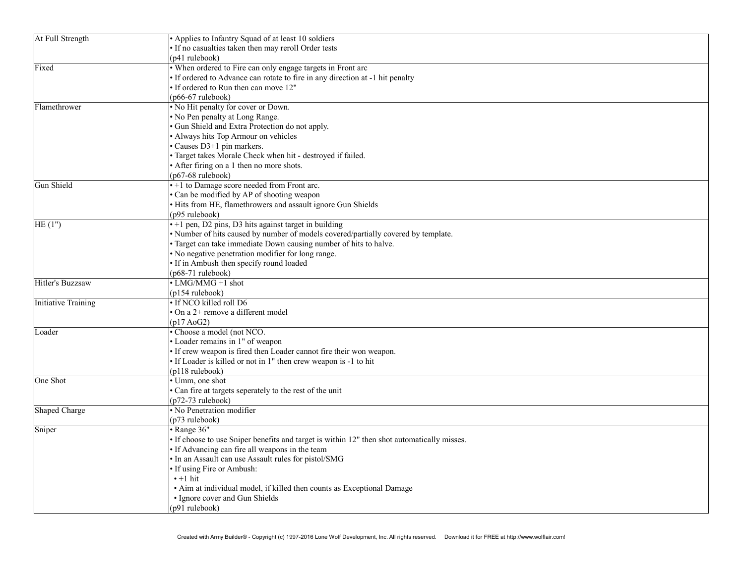| At Full Strength    | • Applies to Infantry Squad of at least 10 soldiers                                         |
|---------------------|---------------------------------------------------------------------------------------------|
|                     | · If no casualties taken then may reroll Order tests                                        |
|                     | (p41 rulebook)                                                                              |
| Fixed               | • When ordered to Fire can only engage targets in Front arc                                 |
|                     | • If ordered to Advance can rotate to fire in any direction at -1 hit penalty               |
|                     | • If ordered to Run then can move 12"                                                       |
|                     | $(p66-67$ rulebook)                                                                         |
| Flamethrower        | . No Hit penalty for cover or Down.                                                         |
|                     | • No Pen penalty at Long Range.                                                             |
|                     | Gun Shield and Extra Protection do not apply.                                               |
|                     | · Always hits Top Armour on vehicles                                                        |
|                     | Causes D3+1 pin markers.                                                                    |
|                     | · Target takes Morale Check when hit - destroyed if failed.                                 |
|                     | • After firing on a 1 then no more shots.                                                   |
|                     | (p67-68 rulebook)                                                                           |
| Gun Shield          | • +1 to Damage score needed from Front arc.                                                 |
|                     | · Can be modified by AP of shooting weapon                                                  |
|                     | · Hits from HE, flamethrowers and assault ignore Gun Shields                                |
|                     | (p95 rulebook)                                                                              |
| HE(1")              | $\cdot$ +1 pen, D2 pins, D3 hits against target in building                                 |
|                     | · Number of hits caused by number of models covered/partially covered by template.          |
|                     | • Target can take immediate Down causing number of hits to halve.                           |
|                     | • No negative penetration modifier for long range.                                          |
|                     | · If in Ambush then specify round loaded                                                    |
|                     | (p68-71 rulebook)                                                                           |
| Hitler's Buzzsaw    | • LMG/MMG +1 shot                                                                           |
|                     | (p154 rulebook)                                                                             |
| Initiative Training | · If NCO killed roll D6                                                                     |
|                     | On a 2+ remove a different model                                                            |
|                     | (p17 A <sub>0</sub> G <sub>2</sub> )                                                        |
| Loader              | · Choose a model (not NCO.                                                                  |
|                     | · Loader remains in 1" of weapon                                                            |
|                     | · If crew weapon is fired then Loader cannot fire their won weapon.                         |
|                     | · If Loader is killed or not in 1" then crew weapon is -1 to hit                            |
|                     | (p118 rulebook)                                                                             |
| One Shot            | • Umm, one shot                                                                             |
|                     | · Can fire at targets seperately to the rest of the unit                                    |
|                     | $(p72-73$ rulebook)                                                                         |
| Shaped Charge       | • No Penetration modifier                                                                   |
|                     | (p73 rulebook)                                                                              |
| Sniper              | $\cdot$ Range 36"                                                                           |
|                     | • If choose to use Sniper benefits and target is within 12" then shot automatically misses. |
|                     | · If Advancing can fire all weapons in the team                                             |
|                     | · In an Assault can use Assault rules for pistol/SMG                                        |
|                     | • If using Fire or Ambush:                                                                  |
|                     | $\cdot$ +1 hit                                                                              |
|                     | • Aim at individual model, if killed then counts as Exceptional Damage                      |
|                     | • Ignore cover and Gun Shields                                                              |
|                     | (p91 rulebook)                                                                              |